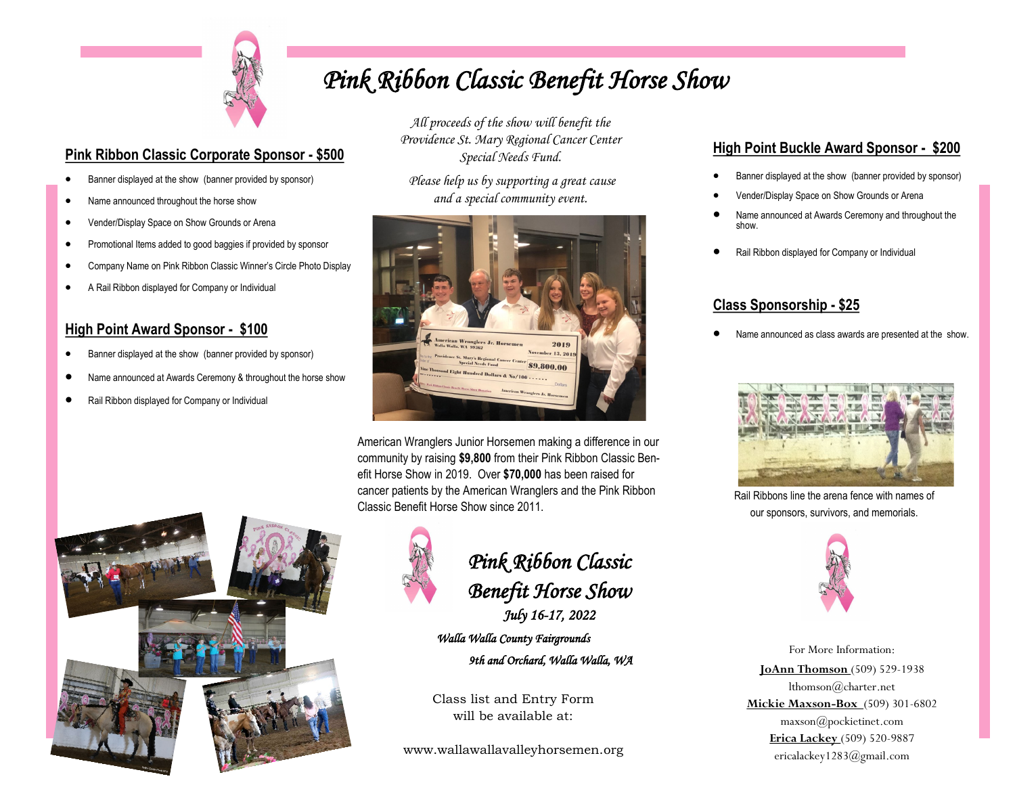

• Name announced throughout the horse show • Vender/Display Space on Show Grounds or Arena

• A Rail Ribbon displayed for Company or Individual

**High Point Award Sponsor - \$100**

• Rail Ribbon displayed for Company or Individual

**Pink Ribbon Classic Corporate Sponsor - \$500** • Banner displayed at the show (banner provided by sponsor)

• Promotional Items added to good baggies if provided by sponsor • Company Name on Pink Ribbon Classic Winner's Circle Photo Display

• Banner displayed at the show (banner provided by sponsor)

• Name announced at Awards Ceremony & throughout the horse show

## *Pink Ribbon Classic Benefit Horse Show*

*All proceeds of the show will benefit the Providence St. Mary Regional Cancer Center Special Needs Fund.* 

*Please help us by supporting a great cause and a special community event.*



American Wranglers Junior Horsemen making a difference in our community by raising **\$9,800** from their Pink Ribbon Classic Benefit Horse Show in 2019. Over **\$70,000** has been raised for cancer patients by the American Wranglers and the Pink Ribbon Classic Benefit Horse Show since 2011.





## *Pink Ribbon Classic Benefit Horse Show*

*July 16-17, 2022 Walla Walla County Fairgrounds* 

 *9th and Orchard, Walla Walla, WA* 

Class list and Entry Form will be available at:

www.wallawallavalleyhorsemen.org

## **High Point Buckle Award Sponsor - \$200**

- Banner displayed at the show (banner provided by sponsor)
- Vender/Display Space on Show Grounds or Arena
- Name announced at Awards Ceremony and throughout the show.
- Rail Ribbon displayed for Company or Individual

## **Class Sponsorship - \$25**

• Name announced as class awards are presented at the show.



Rail Ribbons line the arena fence with names of our sponsors, survivors, and memorials.



For More Information: **JoAnn Thomson** (509) 529-1938 lthomson@charter.net **Mickie Maxson-Box** (509) 301-6802 maxson@pockietinet.com **Erica Lackey** (509) 520-9887 ericalackey1283@gmail.com